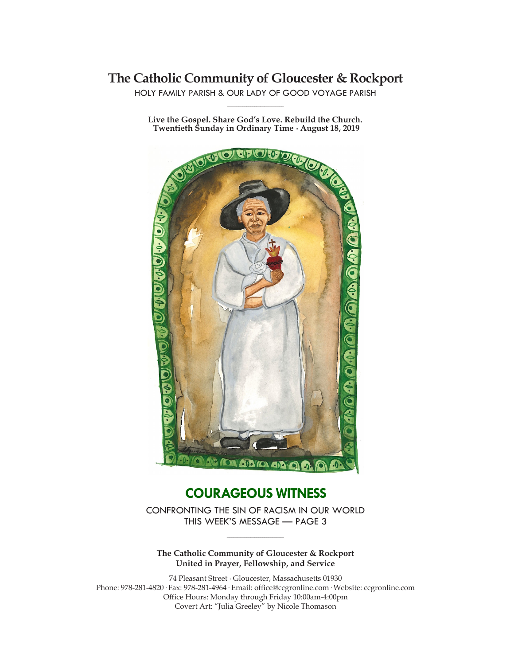# **The Catholic Community of Gloucester & Rockport**

HOLY FAMILY PARISH & OUR LADY OF GOOD VOYAGE PARISH **\_\_\_\_\_\_\_\_\_\_\_\_\_\_\_\_\_\_\_\_\_\_\_\_\_\_\_\_\_**

**Live the Gospel. Share God's Love. Rebuild the Church. Twentieth Sunday in Ordinary Time ∙ August 18, 2019**



# **COURAGEOUS WITNESS**

CONFRONTING THE SIN OF RACISM IN OUR WORLD THIS WEEK'S MESSAGE — PAGE 3

**The Catholic Community of Gloucester & Rockport United in Prayer, Fellowship, and Service**

**\_\_\_\_\_\_\_\_\_\_\_\_\_\_\_\_\_\_\_\_\_\_\_\_\_\_\_\_\_**

74 Pleasant Street ∙ Gloucester, Massachusetts 01930 Phone: 978-281-4820· Fax: 978-281-4964· Email: office@ccgronline.com· Website: ccgronline.com Office Hours: Monday through Friday 10:00am-4:00pm Covert Art: "Julia Greeley" by Nicole Thomason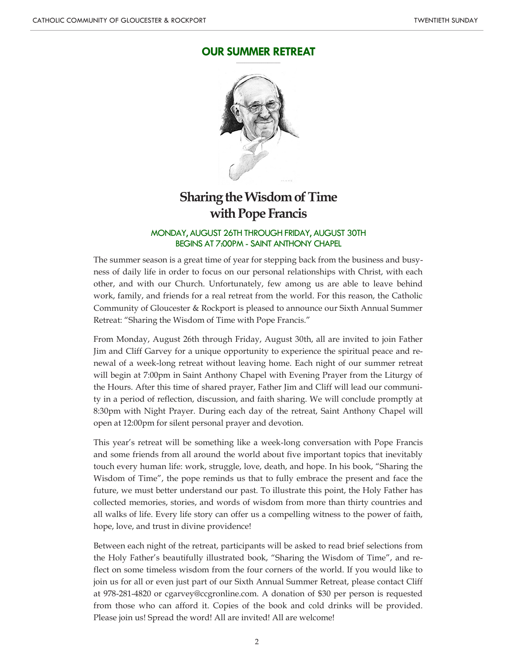#### **OUR SUMMER RETREAT \_\_\_\_\_\_\_\_\_\_\_\_\_\_\_\_\_\_\_\_\_**



# **Sharing the Wisdom of Time with Pope Francis**

#### MONDAY, AUGUST 26TH THROUGH FRIDAY, AUGUST 30TH BEGINS AT 7:00PM - SAINT ANTHONY CHAPEL

The summer season is a great time of year for stepping back from the business and busyness of daily life in order to focus on our personal relationships with Christ, with each other, and with our Church. Unfortunately, few among us are able to leave behind work, family, and friends for a real retreat from the world. For this reason, the Catholic Community of Gloucester & Rockport is pleased to announce our Sixth Annual Summer Retreat: "Sharing the Wisdom of Time with Pope Francis."

From Monday, August 26th through Friday, August 30th, all are invited to join Father Jim and Cliff Garvey for a unique opportunity to experience the spiritual peace and renewal of a week-long retreat without leaving home. Each night of our summer retreat will begin at 7:00pm in Saint Anthony Chapel with Evening Prayer from the Liturgy of the Hours. After this time of shared prayer, Father Jim and Cliff will lead our community in a period of reflection, discussion, and faith sharing. We will conclude promptly at 8:30pm with Night Prayer. During each day of the retreat, Saint Anthony Chapel will open at 12:00pm for silent personal prayer and devotion.

This year's retreat will be something like a week-long conversation with Pope Francis and some friends from all around the world about five important topics that inevitably touch every human life: work, struggle, love, death, and hope. In his book, "Sharing the Wisdom of Time", the pope reminds us that to fully embrace the present and face the future, we must better understand our past. To illustrate this point, the Holy Father has collected memories, stories, and words of wisdom from more than thirty countries and all walks of life. Every life story can offer us a compelling witness to the power of faith, hope, love, and trust in divine providence!

Between each night of the retreat, participants will be asked to read brief selections from the Holy Father's beautifully illustrated book, "Sharing the Wisdom of Time", and reflect on some timeless wisdom from the four corners of the world. If you would like to join us for all or even just part of our Sixth Annual Summer Retreat, please contact Cliff at 978-281-4820 or cgarvey@ccgronline.com. A donation of \$30 per person is requested from those who can afford it. Copies of the book and cold drinks will be provided. Please join us! Spread the word! All are invited! All are welcome!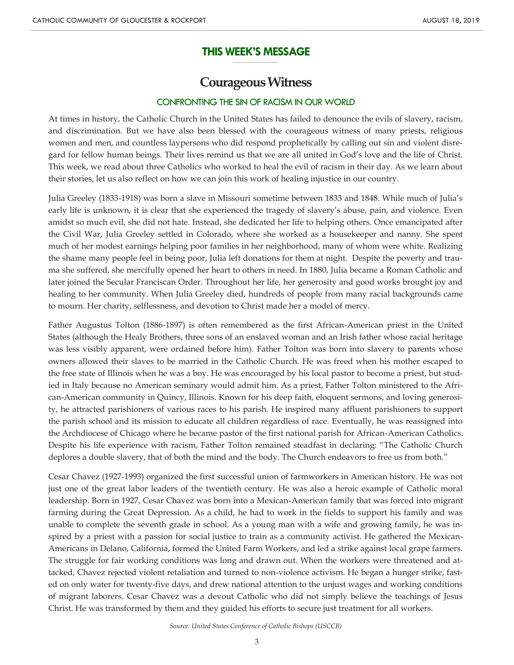#### **THIS WEEK'S MESSAGE \_\_\_\_\_\_\_\_\_\_\_\_\_\_\_\_\_\_\_\_\_**

# **Courageous Witness**

## CONFRONTING THE SIN OF RACISM IN OUR WORLD

At times in history, the Catholic Church in the United States has failed to denounce the evils of slavery, racism, and discrimination. But we have also been blessed with the courageous witness of many priests, religious women and men, and countless laypersons who did respond prophetically by calling out sin and violent disregard for fellow human beings. Their lives remind us that we are all united in God's love and the life of Christ. This week, we read about three Catholics who worked to heal the evil of racism in their day. As we learn about their stories, let us also reflect on how we can join this work of healing injustice in our country.

Julia Greeley (1833-1918) was born a slave in Missouri sometime between 1833 and 1848. While much of Julia's early life is unknown, it is clear that she experienced the tragedy of slavery's abuse, pain, and violence. Even amidst so much evil, she did not hate. Instead, she dedicated her life to helping others. Once emancipated after the Civil War, Julia Greeley settled in Colorado, where she worked as a housekeeper and nanny. She spent much of her modest earnings helping poor families in her neighborhood, many of whom were white. Realizing the shame many people feel in being poor, Julia left donations for them at night. Despite the poverty and trauma she suffered, she mercifully opened her heart to others in need. In 1880, Julia became a Roman Catholic and later joined the Secular Franciscan Order. Throughout her life, her generosity and good works brought joy and healing to her community. When Julia Greeley died, hundreds of people from many racial backgrounds came to mourn. Her charity, selflessness, and devotion to Christ made her a model of mercy.

Father Augustus Tolton (1886-1897) is often remembered as the first African-American priest in the United States (although the Healy Brothers, three sons of an enslaved woman and an Irish father whose racial heritage was less visibly apparent, were ordained before him). Father Tolton was born into slavery to parents whose owners allowed their slaves to be married in the Catholic Church. He was freed when his mother escaped to the free state of Illinois when he was a boy. He was encouraged by his local pastor to become a priest, but studied in Italy because no American seminary would admit him. As a priest, Father Tolton ministered to the African-American community in Quincy, Illinois. Known for his deep faith, eloquent sermons, and loving generosity, he attracted parishioners of various races to his parish. He inspired many affluent parishioners to support the parish school and its mission to educate all children regardless of race. Eventually, he was reassigned into the Archdiocese of Chicago where he became pastor of the first national parish for African-American Catholics. Despite his life experience with racism, Father Tolton remained steadfast in declaring: "The Catholic Church deplores a double slavery, that of both the mind and the body. The Church endeavors to free us from both."

Cesar Chavez (1927-1993) organized the first successful union of farmworkers in American history. He was not just one of the great labor leaders of the twentieth century. He was also a heroic example of Catholic moral leadership. Born in 1927, Cesar Chavez was born into a Mexican-American family that was forced into migrant farming during the Great Depression. As a child, he had to work in the fields to support his family and was unable to complete the seventh grade in school. As a young man with a wife and growing family, he was inspired by a priest with a passion for social justice to train as a community activist. He gathered the Mexican-Americans in Delano, California, formed the United Farm Workers, and led a strike against local grape farmers. The struggle for fair working conditions was long and drawn out. When the workers were threatened and attacked, Chavez rejected violent retaliation and turned to non-violence activism. He began a hunger strike, fasted on only water for twenty-five days, and drew national attention to the unjust wages and working conditions of migrant laborers. Cesar Chavez was a devout Catholic who did not simply believe the teachings of Jesus Christ. He was transformed by them and they guided his efforts to secure just treatment for all workers.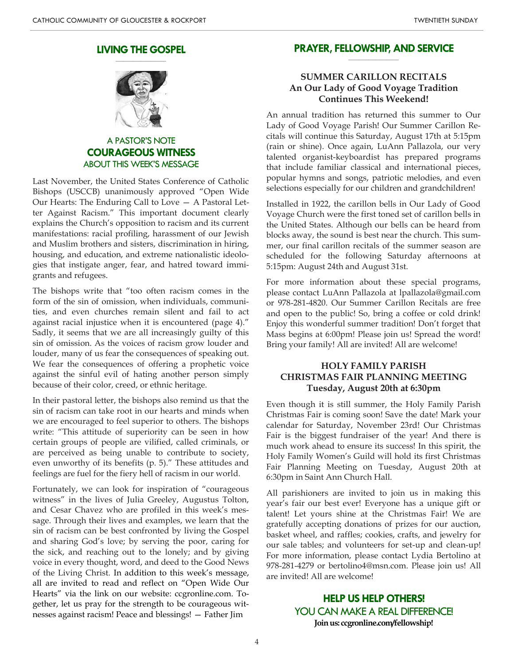#### **LIVING THE GOSPEL \_\_\_\_\_\_\_\_\_\_\_\_\_\_\_\_\_\_\_\_**



A PASTOR'S NOTE **COURAGEOUS WITNESS** ABOUT THIS WEEK'S MESSAGE

Last November, the United States Conference of Catholic Bishops (USCCB) unanimously approved "Open Wide Our Hearts: The Enduring Call to Love — A Pastoral Letter Against Racism." This important document clearly explains the Church's opposition to racism and its current manifestations: racial profiling, harassment of our Jewish and Muslim brothers and sisters, discrimination in hiring, housing, and education, and extreme nationalistic ideologies that instigate anger, fear, and hatred toward immigrants and refugees.

The bishops write that "too often racism comes in the form of the sin of omission, when individuals, communities, and even churches remain silent and fail to act against racial injustice when it is encountered (page 4)." Sadly, it seems that we are all increasingly guilty of this sin of omission. As the voices of racism grow louder and louder, many of us fear the consequences of speaking out. We fear the consequences of offering a prophetic voice against the sinful evil of hating another person simply because of their color, creed, or ethnic heritage.

In their pastoral letter, the bishops also remind us that the sin of racism can take root in our hearts and minds when we are encouraged to feel superior to others. The bishops write: "This attitude of superiority can be seen in how certain groups of people are vilified, called criminals, or are perceived as being unable to contribute to society, even unworthy of its benefits (p. 5)." These attitudes and feelings are fuel for the fiery hell of racism in our world.

Fortunately, we can look for inspiration of "courageous witness" in the lives of Julia Greeley, Augustus Tolton, and Cesar Chavez who are profiled in this week's message. Through their lives and examples, we learn that the sin of racism can be best confronted by living the Gospel and sharing God's love; by serving the poor, caring for the sick, and reaching out to the lonely; and by giving voice in every thought, word, and deed to the Good News of the Living Christ. In addition to this week's message, all are invited to read and reflect on "Open Wide Our Hearts" via the link on our website: ccgronline.com. Together, let us pray for the strength to be courageous witnesses against racism! Peace and blessings! — Father Jim

#### **PRAYER, FELLOWSHIP, AND SERVICE \_\_\_\_\_\_\_\_\_\_\_\_\_\_\_\_\_\_\_\_**

## **SUMMER CARILLON RECITALS An Our Lady of Good Voyage Tradition Continues This Weekend!**

An annual tradition has returned this summer to Our Lady of Good Voyage Parish! Our Summer Carillon Recitals will continue this Saturday, August 17th at 5:15pm (rain or shine). Once again, LuAnn Pallazola, our very talented organist-keyboardist has prepared programs that include familiar classical and international pieces, popular hymns and songs, patriotic melodies, and even selections especially for our children and grandchildren!

Installed in 1922, the carillon bells in Our Lady of Good Voyage Church were the first toned set of carillon bells in the United States. Although our bells can be heard from blocks away, the sound is best near the church. This summer, our final carillon recitals of the summer season are scheduled for the following Saturday afternoons at 5:15pm: August 24th and August 31st.

For more information about these special programs, please contact LuAnn Pallazola at lpallazola@gmail.com or 978-281-4820. Our Summer Carillon Recitals are free and open to the public! So, bring a coffee or cold drink! Enjoy this wonderful summer tradition! Don't forget that Mass begins at 6:00pm! Please join us! Spread the word! Bring your family! All are invited! All are welcome!

## **HOLY FAMILY PARISH CHRISTMAS FAIR PLANNING MEETING Tuesday, August 20th at 6:30pm**

Even though it is still summer, the Holy Family Parish Christmas Fair is coming soon! Save the date! Mark your calendar for Saturday, November 23rd! Our Christmas Fair is the biggest fundraiser of the year! And there is much work ahead to ensure its success! In this spirit, the Holy Family Women's Guild will hold its first Christmas Fair Planning Meeting on Tuesday, August 20th at 6:30pm in Saint Ann Church Hall.

All parishioners are invited to join us in making this year's fair our best ever! Everyone has a unique gift or talent! Let yours shine at the Christmas Fair! We are gratefully accepting donations of prizes for our auction, basket wheel, and raffles; cookies, crafts, and jewelry for our sale tables; and volunteers for set-up and clean-up! For more information, please contact Lydia Bertolino at 978-281-4279 or bertolino4@msn.com. Please join us! All are invited! All are welcome!

> **HELP US HELP OTHERS!** YOU CAN MAKE A REAL DIFFERENCE! **Join us: ccgronline.com/fellowship!**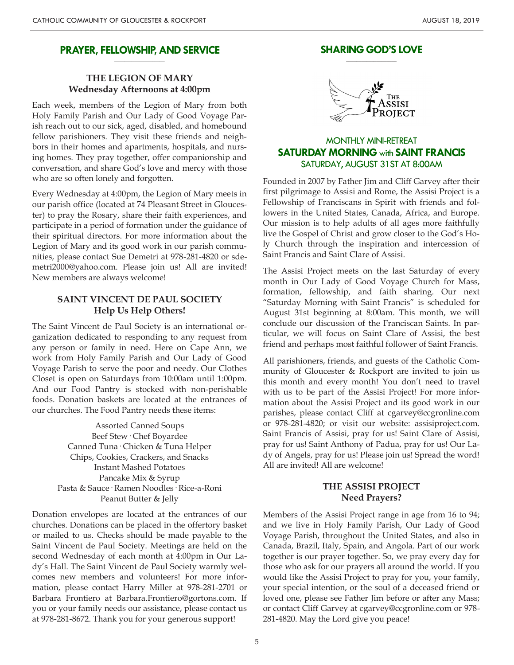#### **PRAYER, FELLOWSHIP, AND SERVICE \_\_\_\_\_\_\_\_\_\_\_\_\_\_\_\_\_\_\_\_**

## **THE LEGION OF MARY Wednesday Afternoons at 4:00pm**

Each week, members of the Legion of Mary from both Holy Family Parish and Our Lady of Good Voyage Parish reach out to our sick, aged, disabled, and homebound fellow parishioners. They visit these friends and neighbors in their homes and apartments, hospitals, and nursing homes. They pray together, offer companionship and conversation, and share God's love and mercy with those who are so often lonely and forgotten.

Every Wednesday at 4:00pm, the Legion of Mary meets in our parish office (located at 74 Pleasant Street in Gloucester) to pray the Rosary, share their faith experiences, and participate in a period of formation under the guidance of their spiritual directors. For more information about the Legion of Mary and its good work in our parish communities, please contact Sue Demetri at 978-281-4820 or sdemetri2000@yahoo.com. Please join us! All are invited! New members are always welcome!

#### **SAINT VINCENT DE PAUL SOCIETY Help Us Help Others!**

The Saint Vincent de Paul Society is an international organization dedicated to responding to any request from any person or family in need. Here on Cape Ann, we work from Holy Family Parish and Our Lady of Good Voyage Parish to serve the poor and needy. Our Clothes Closet is open on Saturdays from 10:00am until 1:00pm. And our Food Pantry is stocked with non-perishable foods. Donation baskets are located at the entrances of our churches. The Food Pantry needs these items:

> Assorted Canned Soups Beef Stew· Chef Boyardee Canned Tuna· Chicken & Tuna Helper Chips, Cookies, Crackers, and Snacks Instant Mashed Potatoes Pancake Mix & Syrup Pasta & Sauce· Ramen Noodles· Rice-a-Roni Peanut Butter & Jelly

Donation envelopes are located at the entrances of our churches. Donations can be placed in the offertory basket or mailed to us. Checks should be made payable to the Saint Vincent de Paul Society. Meetings are held on the second Wednesday of each month at 4:00pm in Our Lady's Hall. The Saint Vincent de Paul Society warmly welcomes new members and volunteers! For more information, please contact Harry Miller at 978-281-2701 or Barbara Frontiero at Barbara.Frontiero@gortons.com. If you or your family needs our assistance, please contact us at 978-281-8672. Thank you for your generous support!

#### **SHARING GOD'S LOVE \_\_\_\_\_\_\_\_\_\_\_\_\_\_\_\_\_\_\_\_**



## MONTHLY MINI-RETREAT **SATURDAY MORNING** with **SAINT FRANCIS** SATURDAY, AUGUST 31ST AT 8:00AM

Founded in 2007 by Father Jim and Cliff Garvey after their first pilgrimage to Assisi and Rome, the Assisi Project is a Fellowship of Franciscans in Spirit with friends and followers in the United States, Canada, Africa, and Europe. Our mission is to help adults of all ages more faithfully live the Gospel of Christ and grow closer to the God's Holy Church through the inspiration and intercession of Saint Francis and Saint Clare of Assisi.

The Assisi Project meets on the last Saturday of every month in Our Lady of Good Voyage Church for Mass, formation, fellowship, and faith sharing. Our next "Saturday Morning with Saint Francis" is scheduled for August 31st beginning at 8:00am. This month, we will conclude our discussion of the Franciscan Saints. In particular, we will focus on Saint Clare of Assisi, the best friend and perhaps most faithful follower of Saint Francis.

All parishioners, friends, and guests of the Catholic Community of Gloucester & Rockport are invited to join us this month and every month! You don't need to travel with us to be part of the Assisi Project! For more information about the Assisi Project and its good work in our parishes, please contact Cliff at cgarvey@ccgronline.com or 978-281-4820; or visit our website: assisiproject.com. Saint Francis of Assisi, pray for us! Saint Clare of Assisi, pray for us! Saint Anthony of Padua, pray for us! Our Lady of Angels, pray for us! Please join us! Spread the word! All are invited! All are welcome!

#### **THE ASSISI PROJECT Need Prayers?**

Members of the Assisi Project range in age from 16 to 94; and we live in Holy Family Parish, Our Lady of Good Voyage Parish, throughout the United States, and also in Canada, Brazil, Italy, Spain, and Angola. Part of our work together is our prayer together. So, we pray every day for those who ask for our prayers all around the world. If you would like the Assisi Project to pray for you, your family, your special intention, or the soul of a deceased friend or loved one, please see Father Jim before or after any Mass; or contact Cliff Garvey at cgarvey@ccgronline.com or 978- 281-4820. May the Lord give you peace!